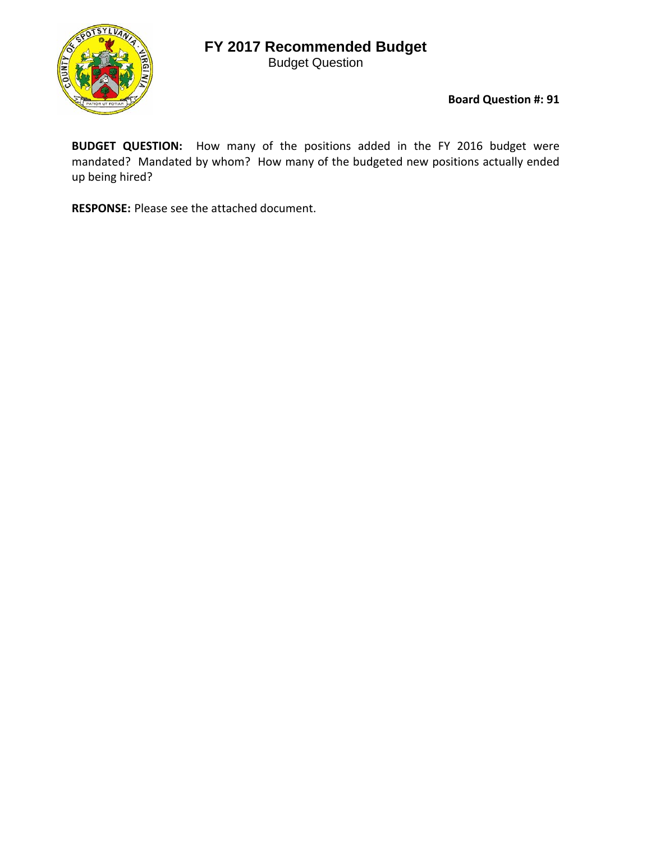## **FY 2017 Recommended Budget**

Budget Question



**Board Question #: 91**

**BUDGET QUESTION:** How many of the positions added in the FY 2016 budget were mandated? Mandated by whom? How many of the budgeted new positions actually ended up being hired?

**RESPONSE:** Please see the attached document.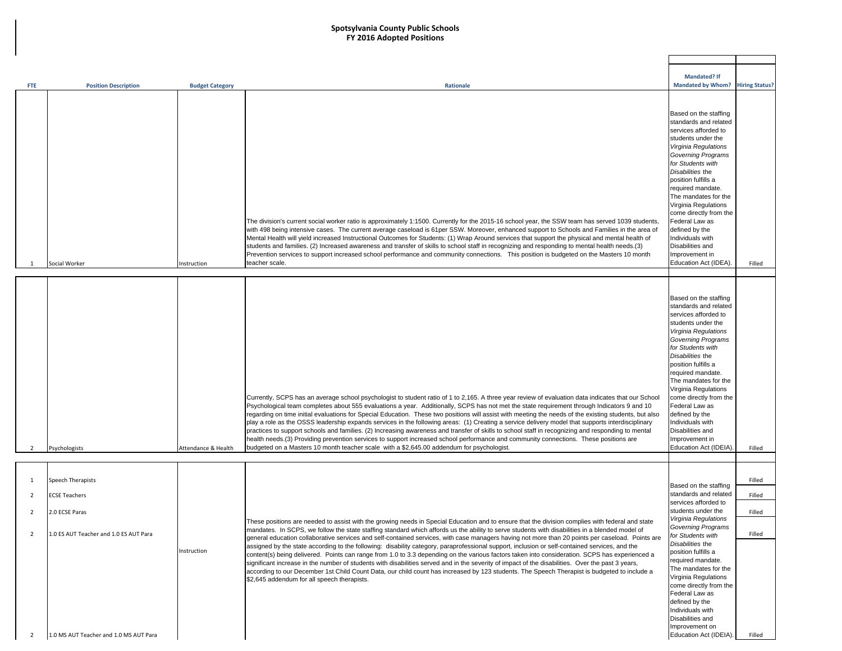## **Spotsylvania County Public Schools FY 2016 Adopted Positions**

|                |                                        |                        |                                                                                                                                                        | <b>Mandated? If</b>       |                       |
|----------------|----------------------------------------|------------------------|--------------------------------------------------------------------------------------------------------------------------------------------------------|---------------------------|-----------------------|
|                | <b>Position Description</b>            |                        | Rationale                                                                                                                                              | <b>Mandated by Whom?</b>  | <b>Hiring Status?</b> |
| <b>FTE</b>     |                                        | <b>Budget Category</b> |                                                                                                                                                        |                           |                       |
|                |                                        |                        |                                                                                                                                                        |                           |                       |
|                |                                        |                        |                                                                                                                                                        |                           |                       |
|                |                                        |                        |                                                                                                                                                        | Based on the staffing     |                       |
|                |                                        |                        |                                                                                                                                                        | standards and related     |                       |
|                |                                        |                        |                                                                                                                                                        | services afforded to      |                       |
|                |                                        |                        |                                                                                                                                                        | students under the        |                       |
|                |                                        |                        |                                                                                                                                                        | Virginia Regulations      |                       |
|                |                                        |                        |                                                                                                                                                        | Governing Programs        |                       |
|                |                                        |                        |                                                                                                                                                        | for Students with         |                       |
|                |                                        |                        |                                                                                                                                                        | Disabilities the          |                       |
|                |                                        |                        |                                                                                                                                                        | position fulfills a       |                       |
|                |                                        |                        |                                                                                                                                                        | required mandate.         |                       |
|                |                                        |                        |                                                                                                                                                        |                           |                       |
|                |                                        |                        |                                                                                                                                                        | The mandates for the      |                       |
|                |                                        |                        |                                                                                                                                                        | Virginia Regulations      |                       |
|                |                                        |                        |                                                                                                                                                        | come directly from the    |                       |
|                |                                        |                        | The division's current social worker ratio is approximately 1:1500. Currently for the 2015-16 school year, the SSW team has served 1039 students,      | Federal Law as            |                       |
|                |                                        |                        | with 498 being intensive cases. The current average caseload is 61per SSW. Moreover, enhanced support to Schools and Families in the area of           | defined by the            |                       |
|                |                                        |                        | Mental Health will yield increased Instructional Outcomes for Students: (1) Wrap Around services that support the physical and mental health of        | Individuals with          |                       |
|                |                                        |                        | students and families. (2) Increased awareness and transfer of skills to school staff in recognizing and responding to mental health needs.(3)         | Disabilities and          |                       |
|                |                                        |                        | Prevention services to support increased school performance and community connections. This position is budgeted on the Masters 10 month               | Improvement in            |                       |
|                | Social Worker                          | nstruction             | teacher scale.                                                                                                                                         | Education Act (IDEA)      | Filled                |
|                |                                        |                        |                                                                                                                                                        |                           |                       |
|                |                                        |                        |                                                                                                                                                        |                           |                       |
|                |                                        |                        |                                                                                                                                                        |                           |                       |
|                |                                        |                        |                                                                                                                                                        | Based on the staffing     |                       |
|                |                                        |                        |                                                                                                                                                        | standards and related     |                       |
|                |                                        |                        |                                                                                                                                                        | services afforded to      |                       |
|                |                                        |                        |                                                                                                                                                        | students under the        |                       |
|                |                                        |                        |                                                                                                                                                        | Virginia Regulations      |                       |
|                |                                        |                        |                                                                                                                                                        | <b>Governing Programs</b> |                       |
|                |                                        |                        |                                                                                                                                                        | for Students with         |                       |
|                |                                        |                        |                                                                                                                                                        | Disabilities the          |                       |
|                |                                        |                        |                                                                                                                                                        | position fulfills a       |                       |
|                |                                        |                        |                                                                                                                                                        | required mandate.         |                       |
|                |                                        |                        |                                                                                                                                                        | The mandates for the      |                       |
|                |                                        |                        |                                                                                                                                                        | Virginia Regulations      |                       |
|                |                                        |                        |                                                                                                                                                        | come directly from the    |                       |
|                |                                        |                        | Currently, SCPS has an average school psychologist to student ratio of 1 to 2,165. A three year review of evaluation data indicates that our School    |                           |                       |
|                |                                        |                        | Psychological team completes about 555 evaluations a year. Additionally, SCPS has not met the state requirement through Indicators 9 and 10            | Federal Law as            |                       |
|                |                                        |                        | regarding on time initial evaluations for Special Education. These two positions will assist with meeting the needs of the existing students, but also | defined by the            |                       |
|                |                                        |                        | play a role as the OSSS leadership expands services in the following areas: (1) Creating a service delivery model that supports interdisciplinary      | Individuals with          |                       |
|                |                                        |                        | practices to support schools and families. (2) Increasing awareness and transfer of skills to school staff in recognizing and responding to mental     | Disabilities and          |                       |
|                |                                        |                        | health needs.(3) Providing prevention services to support increased school performance and community connections. These positions are                  | Improvement in            |                       |
| 2              | Psychologists                          | Attendance & Health    | budgeted on a Masters 10 month teacher scale with a \$2,645.00 addendum for psychologist.                                                              | Education Act (IDEIA)     | Filled                |
|                |                                        |                        |                                                                                                                                                        |                           |                       |
|                |                                        |                        |                                                                                                                                                        |                           |                       |
|                |                                        |                        |                                                                                                                                                        |                           |                       |
| 1              | Speech Therapists                      |                        |                                                                                                                                                        | Based on the staffing     | Filled                |
| $\overline{2}$ | <b>ECSE Teachers</b>                   |                        |                                                                                                                                                        | standards and related     | Filled                |
|                |                                        |                        |                                                                                                                                                        | services afforded to      |                       |
|                |                                        |                        |                                                                                                                                                        | students under the        |                       |
| 2              | 2.0 ECSE Paras                         |                        |                                                                                                                                                        | Virginia Regulations      | Filled                |
|                |                                        |                        | These positions are needed to assist with the growing needs in Special Education and to ensure that the division complies with federal and state       | <b>Governing Programs</b> |                       |
| 2              | 1.0 ES AUT Teacher and 1.0 ES AUT Para |                        | mandates. In SCPS, we follow the state staffing standard which affords us the ability to serve students with disabilities in a blended model of        | for Students with         | Filled                |
|                |                                        |                        | general education collaborative services and self-contained services, with case managers having not more than 20 points per caseload. Points are       |                           |                       |
|                |                                        | Instruction            | assigned by the state according to the following: disability category, paraprofessional support, inclusion or self-contained services, and the         | Disabilities the          |                       |
|                |                                        |                        | content(s) being delivered. Points can range from 1.0 to 3.3 depending on the various factors taken into consideration. SCPS has experienced a         | position fulfills a       |                       |
|                |                                        |                        | significant increase in the number of students with disabilities served and in the severity of impact of the disabilities. Over the past 3 years,      | required mandate.         |                       |
|                |                                        |                        | according to our December 1st Child Count Data, our child count has increased by 123 students. The Speech Therapist is budgeted to include a           | The mandates for the      |                       |
|                |                                        |                        | \$2,645 addendum for all speech therapists.                                                                                                            | Virginia Regulations      |                       |
|                |                                        |                        |                                                                                                                                                        | come directly from the    |                       |
|                |                                        |                        |                                                                                                                                                        | Federal Law as            |                       |
|                |                                        |                        |                                                                                                                                                        | defined by the            |                       |
|                |                                        |                        |                                                                                                                                                        | Individuals with          |                       |
|                |                                        |                        |                                                                                                                                                        | Disabilities and          |                       |
|                |                                        |                        |                                                                                                                                                        | Improvement on            |                       |
| 2              | 1.0 MS AUT Teacher and 1.0 MS AUT Para |                        |                                                                                                                                                        | Education Act (IDEIA).    | Filled                |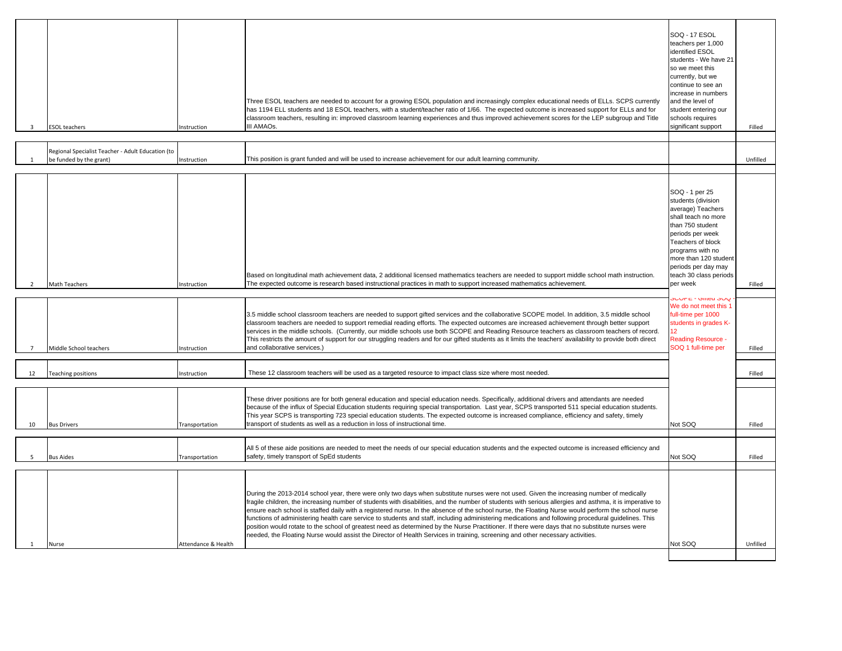| 3              | <b>ESOL</b> teachers                                                         | nstruction          | Three ESOL teachers are needed to account for a growing ESOL population and increasingly complex educational needs of ELLs. SCPS currently<br>has 1194 ELL students and 18 ESOL teachers, with a student/teacher ratio of 1/66. The expected outcome is increased support for ELLs and for<br>classroom teachers, resulting in: improved classroom learning experiences and thus improved achievement scores for the LEP subgroup and Title<br>III AMAOs.                                                                                                                                                                                                                                                                                                                                                                                                                                               | <b>SOQ - 17 ESOL</b><br>teachers per 1,000<br>identified ESOL<br>students - We have 21<br>so we meet this<br>currently, but we<br>continue to see an<br>increase in numbers<br>and the level of<br>student entering our<br>schools requires<br>significant support | Filled   |
|----------------|------------------------------------------------------------------------------|---------------------|---------------------------------------------------------------------------------------------------------------------------------------------------------------------------------------------------------------------------------------------------------------------------------------------------------------------------------------------------------------------------------------------------------------------------------------------------------------------------------------------------------------------------------------------------------------------------------------------------------------------------------------------------------------------------------------------------------------------------------------------------------------------------------------------------------------------------------------------------------------------------------------------------------|--------------------------------------------------------------------------------------------------------------------------------------------------------------------------------------------------------------------------------------------------------------------|----------|
|                | Regional Specialist Teacher - Adult Education (to<br>be funded by the grant) | Instruction         | This position is grant funded and will be used to increase achievement for our adult learning community.                                                                                                                                                                                                                                                                                                                                                                                                                                                                                                                                                                                                                                                                                                                                                                                                |                                                                                                                                                                                                                                                                    | Unfilled |
| $\overline{2}$ | Math Teachers                                                                | nstruction          | Based on longitudinal math achievement data, 2 additional licensed mathematics teachers are needed to support middle school math instruction.<br>The expected outcome is research based instructional practices in math to support increased mathematics achievement.                                                                                                                                                                                                                                                                                                                                                                                                                                                                                                                                                                                                                                   | SOQ - 1 per 25<br>students (division<br>average) Teachers<br>shall teach no more<br>than 750 student<br>periods per week<br>Teachers of block<br>programs with no<br>more than 120 student<br>periods per day may<br>teach 30 class periods<br>per week            | Filled   |
| $\overline{7}$ | Middle School teachers                                                       | Instruction         | 3.5 middle school classroom teachers are needed to support gifted services and the collaborative SCOPE model. In addition, 3.5 middle school<br>classroom teachers are needed to support remedial reading efforts. The expected outcomes are increased achievement through better support<br>services in the middle schools. (Currently, our middle schools use both SCOPE and Reading Resource teachers as classroom teachers of record.<br>This restricts the amount of support for our struggling readers and for our gifted students as it limits the teachers' availability to provide both direct<br>and collaborative services.)                                                                                                                                                                                                                                                                 | אטט וווט - שוווט<br>We do not meet this 1<br>ull-time per 1000<br>students in grades K-<br>12<br><b>Reading Resource -</b><br>SOQ 1 full-time per                                                                                                                  | Filled   |
| 12             | Teaching positions                                                           | Instruction         | These 12 classroom teachers will be used as a targeted resource to impact class size where most needed.                                                                                                                                                                                                                                                                                                                                                                                                                                                                                                                                                                                                                                                                                                                                                                                                 |                                                                                                                                                                                                                                                                    | Filled   |
| 10             | <b>Bus Drivers</b>                                                           | Transportation      | These driver positions are for both general education and special education needs. Specifically, additional drivers and attendants are needed<br>because of the influx of Special Education students requiring special transportation. Last year, SCPS transported 511 special education students.<br>This year SCPS is transporting 723 special education students. The expected outcome is increased compliance, efficiency and safety, timely<br>transport of students as well as a reduction in loss of instructional time.                                                                                                                                                                                                                                                                                                                                                                         | Not SOQ                                                                                                                                                                                                                                                            | Filled   |
| 5              | <b>Bus Aides</b>                                                             | Transportation      | All 5 of these aide positions are needed to meet the needs of our special education students and the expected outcome is increased efficiency and<br>safety, timely transport of SpEd students                                                                                                                                                                                                                                                                                                                                                                                                                                                                                                                                                                                                                                                                                                          | Not SOQ                                                                                                                                                                                                                                                            | Filled   |
|                | Nurse                                                                        | Attendance & Health | During the 2013-2014 school year, there were only two days when substitute nurses were not used. Given the increasing number of medically<br>fragile children, the increasing number of students with disabilities, and the number of students with serious allergies and asthma, it is imperative to<br>ensure each school is staffed daily with a registered nurse. In the absence of the school nurse, the Floating Nurse would perform the school nurse<br>functions of administering health care service to students and staff, including administering medications and following procedural quidelines. This<br>position would rotate to the school of greatest need as determined by the Nurse Practitioner. If there were days that no substitute nurses were<br>needed, the Floating Nurse would assist the Director of Health Services in training, screening and other necessary activities. | Not SOQ                                                                                                                                                                                                                                                            | Unfilled |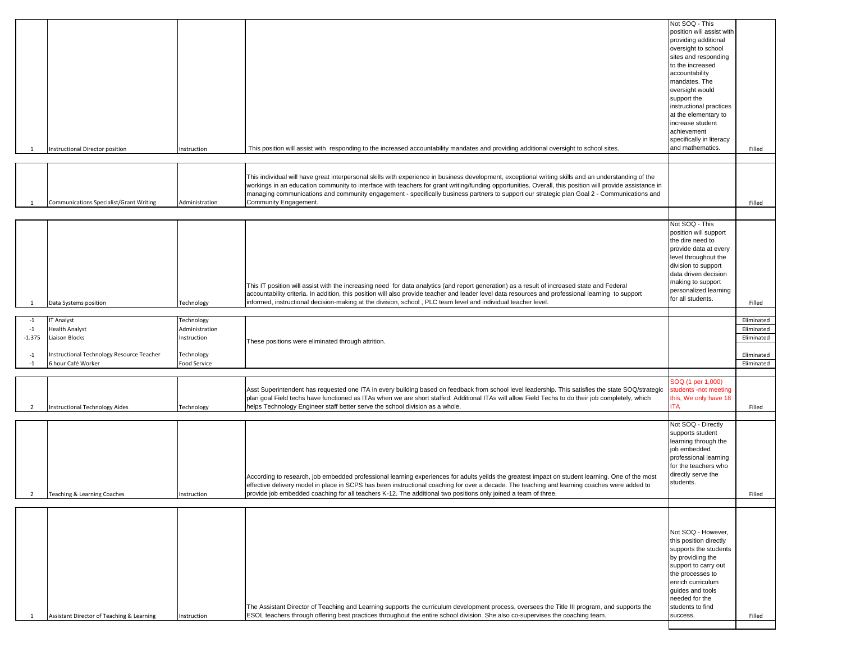| -1                                       | <b>Instructional Director position</b>                                                                                          | nstruction                                                                | This position will assist with responding to the increased accountability mandates and providing additional oversight to school sites.                                                                                                                                                                                                                                                                                                                                                   | Not SOQ - This<br>position will assist with<br>providing additional<br>oversight to school<br>sites and responding<br>to the increased<br>accountability<br>mandates. The<br>oversight would<br>support the<br>instructional practices<br>at the elementary to<br>increase student<br>achievement<br>specifically in literacy<br>and mathematics. | Filled                                                             |
|------------------------------------------|---------------------------------------------------------------------------------------------------------------------------------|---------------------------------------------------------------------------|------------------------------------------------------------------------------------------------------------------------------------------------------------------------------------------------------------------------------------------------------------------------------------------------------------------------------------------------------------------------------------------------------------------------------------------------------------------------------------------|---------------------------------------------------------------------------------------------------------------------------------------------------------------------------------------------------------------------------------------------------------------------------------------------------------------------------------------------------|--------------------------------------------------------------------|
| -1                                       | Communications Specialist/Grant Writing                                                                                         | Administration                                                            | This individual will have great interpersonal skills with experience in business development, exceptional writing skills and an understanding of the<br>workings in an education community to interface with teachers for grant writing/funding opportunities. Overall, this position will provide assistance in<br>managing communications and community engagement - specifically business partners to support our strategic plan Goal 2 - Communications and<br>Community Engagement. |                                                                                                                                                                                                                                                                                                                                                   | Filled                                                             |
| -1                                       | Data Systems position                                                                                                           | Technology                                                                | This IT position will assist with the increasing need for data analytics (and report generation) as a result of increased state and Federal<br>accountability criteria. In addition, this position will also provide teacher and leader level data resources and professional learning to support<br>informed, instructional decision-making at the division, school, PLC team level and individual teacher level.                                                                       | Not SOQ - This<br>position will support<br>the dire need to<br>provide data at every<br>level throughout the<br>division to support<br>data driven decision<br>making to support<br>personalized learning<br>for all students.                                                                                                                    | Filled                                                             |
| $-1$<br>$-1$<br>$-1.375$<br>$-1$<br>$-1$ | <b>IT Analyst</b><br><b>Health Analyst</b><br>Liaison Blocks<br>Instructional Technology Resource Teacher<br>6 hour Café Worker | Technology<br>Administration<br>Instruction<br>Technology<br>Food Service | These positions were eliminated through attrition.                                                                                                                                                                                                                                                                                                                                                                                                                                       |                                                                                                                                                                                                                                                                                                                                                   | Eliminated<br>Eliminated<br>Eliminated<br>Eliminated<br>Eliminated |
| $\overline{2}$                           | <b>Instructional Technology Aides</b>                                                                                           | Technology                                                                | Asst Superintendent has requested one ITA in every building based on feedback from school level leadership. This satisfies the state SOQ/strategic<br>plan goal Field techs have functioned as ITAs when we are short staffed. Additional ITAs will allow Field Techs to do their job completely, which<br>helps Technology Engineer staff better serve the school division as a whole.                                                                                                  | SOQ (1 per 1,000)<br>students -not meeting<br>this, We only have 18<br><b>ITA</b>                                                                                                                                                                                                                                                                 | Filled                                                             |
|                                          | Teaching & Learning Coaches                                                                                                     | Instruction                                                               | According to research, job embedded professional learning experiences for adults yeilds the greatest impact on student learning. One of the most<br>effective delivery model in place in SCPS has been instructional coaching for over a decade. The teaching and learning coaches were added to<br>provide job embedded coaching for all teachers K-12. The additional two positions only joined a team of three.                                                                       | Not SOQ - Directly<br>supports student<br>learning through the<br>job embedded<br>professional learning<br>for the teachers who<br>directly serve the<br>students.                                                                                                                                                                                | Filled                                                             |
| 1                                        | Assistant Director of Teaching & Learning                                                                                       | Instruction                                                               | The Assistant Director of Teaching and Learning supports the curriculum development process, oversees the Title III program, and supports the<br>ESOL teachers through offering best practices throughout the entire school division. She also co-supervises the coaching team.                                                                                                                                                                                                          | Not SOQ - However,<br>this position directly<br>supports the students<br>by providiing the<br>support to carry out<br>the processes to<br>enrich curriculum<br>quides and tools<br>needed for the<br>students to find<br>success.                                                                                                                 | Filled                                                             |